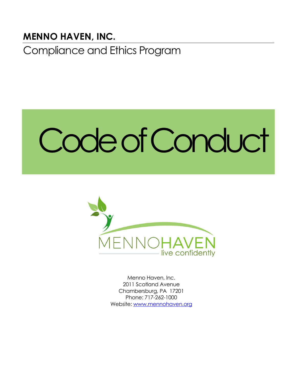# **MENNO HAVEN, INC.**

Compliance and Ethics Program

# Code of Conduct



Menno Haven, Inc. 2011 Scotland Avenue Chambersburg, PA 17201 Phone: 717-262-1000 Website: [www.mennohaven.org](http://www.mennohaven.org/)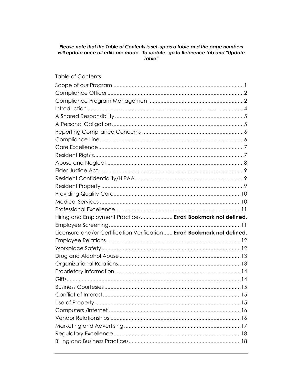# Please note that the Table of Contents is set-up as a table and the page numbers will update once all edits are made. To update- go to Reference tab and "Update"

#### **Table of Contents**

| Hiring and Employment Practices Error! Bookmark not defined.             |  |
|--------------------------------------------------------------------------|--|
|                                                                          |  |
| Licensure and/or Certification Verification Error! Bookmark not defined. |  |
|                                                                          |  |
|                                                                          |  |
|                                                                          |  |
|                                                                          |  |
|                                                                          |  |
|                                                                          |  |
|                                                                          |  |
|                                                                          |  |
|                                                                          |  |
|                                                                          |  |
|                                                                          |  |
|                                                                          |  |
|                                                                          |  |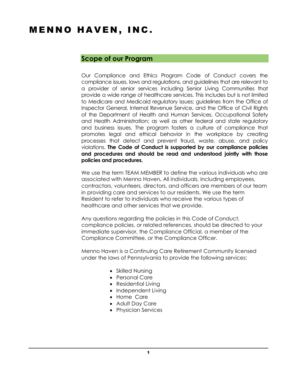# MENNO HAVEN, INC.

#### <span id="page-3-0"></span>**Scope of our Program**

Our Compliance and Ethics Program Code of Conduct covers the compliance issues, laws and regulations, and guidelines that are relevant to a provider of senior services including Senior Living Communities that provide a wide range of healthcare services. This includes but is not limited to Medicare and Medicaid regulatory issues; guidelines from the Office of Inspector General, Internal Revenue Service, and the Office of Civil Rights of the Department of Health and Human Services, Occupational Safety and Health Administration; as well as other federal and state regulatory and business issues. The program fosters a culture of compliance that promotes legal and ethical behavior in the workplace by creating processes that detect and prevent fraud, waste, abuse, and policy violations. **The Code of Conduct is supported by our compliance policies and procedures and should be read and understood jointly with those policies and procedures.**

We use the term TEAM MEMBER to define the various individuals who are associated with Menno Haven**.** All individuals, including employees, contractors, volunteers, directors, and officers are members of our team in providing care and services to our residents. We use the term Resident to refer to individuals who receive the various types of healthcare and other services that we provide.

Any questions regarding the policies in this Code of Conduct, compliance policies, or related references, should be directed to your immediate supervisor, the Compliance Official, a member of the Compliance Committee, or the Compliance Officer.

Menno Haven is a Continuing Care Retirement Community licensed under the laws of Pennsylvania to provide the following services:

- Skilled Nursing
- Personal Care
- Residential Living
- Independent Living
- Home Care
- Adult Day Care
- Physician Services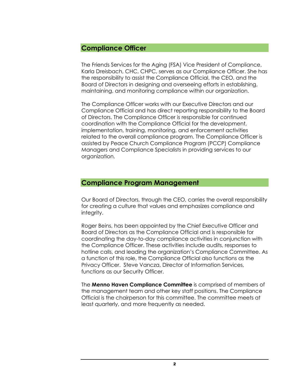#### <span id="page-4-0"></span>**Compliance Officer**

The Friends Services for the Aging (FSA) Vice President of Compliance, Karla Dreisbach, CHC, CHPC, serves as our Compliance Officer. She has the responsibility to assist the Compliance Official, the CEO, and the Board of Directors in designing and overseeing efforts in establishing, maintaining, and monitoring compliance within our organization.

The Compliance Officer works with our Executive Directors and our Compliance Official and has direct reporting responsibility to the Board of Directors. The Compliance Officer is responsible for continued coordination with the Compliance Official for the development, implementation, training, monitoring, and enforcement activities related to the overall compliance program. The Compliance Officer is assisted by Peace Church Compliance Program (PCCP) Compliance Managers and Compliance Specialists in providing services to our organization.

#### <span id="page-4-1"></span>**Compliance Program Management**

Our Board of Directors, through the CEO, carries the overall responsibility for creating a culture that values and emphasizes compliance and integrity.

Roger Beins, has been appointed by the Chief Executive Officer and Board of Directors as the Compliance Official and is responsible for coordinating the day-to-day compliance activities in conjunction with the Compliance Officer. These activities include audits, responses to hotline calls, and leading the organization's Compliance Committee. As a function of this role, the Compliance Official also functions as the Privacy Officer. Steve Vancza, Director of Information Services, functions as our Security Officer.

The **Menno Haven Compliance Committee** is comprised of members of the management team and other key staff positions. The Compliance Official is the chairperson for this committee. The committee meets at least quarterly, and more frequently as needed.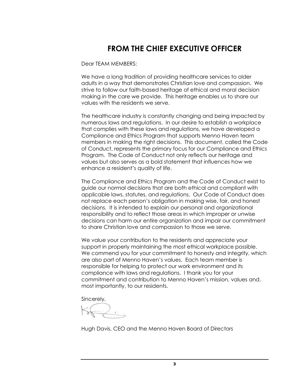# **FROM THE CHIEF EXECUTIVE OFFICER**

Dear TEAM MEMBERS:

We have a long tradition of providing healthcare services to older adults in a way that demonstrates Christian love and compassion. We strive to follow our faith-based heritage of ethical and moral decision making in the care we provide. This heritage enables us to share our values with the residents we serve.

The healthcare industry is constantly changing and being impacted by numerous laws and regulations. In our desire to establish a workplace that complies with these laws and regulations, we have developed a Compliance and Ethics Program that supports Menno Haven team members in making the right decisions. This document, called the Code of Conduct, represents the primary focus for our Compliance and Ethics Program. The Code of Conduct not only reflects our heritage and values but also serves as a bold statement that influences how we enhance a resident's quality of life.

The Compliance and Ethics Program and the Code of Conduct exist to guide our normal decisions that are both ethical and compliant with applicable laws, statutes, and regulations. Our Code of Conduct does not replace each person's obligation in making wise, fair, and honest decisions. It is intended to explain our personal and organizational responsibility and to reflect those areas in which improper or unwise decisions can harm our entire organization and impair our commitment to share Christian love and compassion to those we serve.

We value your contribution to the residents and appreciate your support in properly maintaining the most ethical workplace possible. We commend you for your commitment to honesty and integrity, which are also part of Menno Haven's values. Each team member is responsible for helping to protect our work environment and its compliance with laws and regulations. I thank you for your commitment and contribution to Menno Haven's mission, values and, most importantly, to our residents.

Sincerely,

Hugh Davis, CEO and the Menno Haven Board of Directors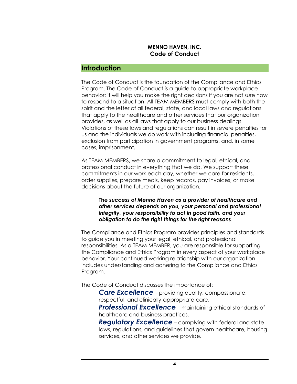#### <span id="page-6-0"></span>**Introduction**

The Code of Conduct is the foundation of the Compliance and Ethics Program. The Code of Conduct is a guide to appropriate workplace behavior; it will help you make the right decisions if you are not sure how to respond to a situation. All TEAM MEMBERS must comply with both the spirit and the letter of all federal, state, and local laws and regulations that apply to the healthcare and other services that our organization provides, as well as all laws that apply to our business dealings. Violations of these laws and regulations can result in severe penalties for us and the individuals we do work with including financial penalties, exclusion from participation in government programs, and, in some cases, imprisonment.

As TEAM MEMBERS, we share a commitment to legal, ethical, and professional conduct in everything that we do. We support these commitments in our work each day, whether we care for residents, order supplies, prepare meals, keep records, pay invoices, or make decisions about the future of our organization.

**The** *success of Menno Haven as a provider of healthcare and other services depends on you, your personal and professional integrity, your responsibility to act in good faith, and your obligation to do the right things for the right reasons*.

The Compliance and Ethics Program provides principles and standards to guide you in meeting your legal, ethical, and professional responsibilities. As a TEAM MEMBER, you are responsible for supporting the Compliance and Ethics Program in every aspect of your workplace behavior. Your continued working relationship with our organization includes understanding and adhering to the Compliance and Ethics Program.

The Code of Conduct discusses the importance of:

*Care Excellence* – providing quality, compassionate, respectful, and clinically-appropriate care.

*Professional Excellence* – maintaining ethical standards of healthcare and business practices.

*Regulatory Excellence* – complying with federal and state laws, regulations, and guidelines that govern healthcare, housing services, and other services we provide.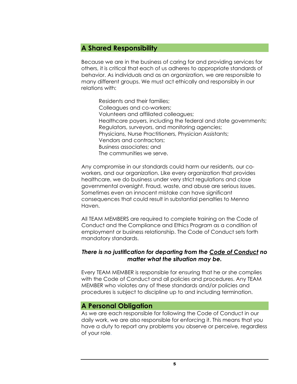## <span id="page-7-0"></span>**A Shared Responsibility**

Because we are in the business of caring for and providing services for others, it is critical that each of us adheres to appropriate standards of behavior. As individuals and as an organization, we are responsible to many different groups. We must act ethically and responsibly in our relations with:

Residents and their families; Colleagues and co-workers; Volunteers and affiliated colleagues; Healthcare payers, including the federal and state governments; Regulators, surveyors, and monitoring agencies; Physicians, Nurse Practitioners, Physician Assistants; Vendors and contractors; Business associates; and The communities we serve.

Any compromise in our standards could harm our residents, our coworkers, and our organization. Like every organization that provides healthcare, we do business under very strict regulations and close governmental oversight. Fraud, waste, and abuse are serious issues. Sometimes even an innocent mistake can have significant consequences that could result in substantial penalties to Menno Haven.

All TEAM MEMBERS are required to complete training on the Code of Conduct and the Compliance and Ethics Program as a condition of employment or business relationship. The Code of Conduct sets forth mandatory standards.

#### *There is no justification for departing from the Code of Conduct no matter what the situation may be.*

Every TEAM MEMBER is responsible for ensuring that he or she complies with the Code of Conduct and all policies and procedures. Any TEAM MEMBER who violates any of these standards and/or policies and procedures is subject to discipline up to and including termination.

#### <span id="page-7-1"></span>**A Personal Obligation**

As we are each responsible for following the Code of Conduct in our daily work, we are also responsible for enforcing it. This means that you have a duty to report any problems you observe or perceive, regardless of your role.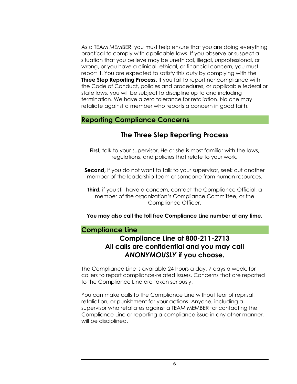As a TEAM MEMBER, you must help ensure that you are doing everything practical to comply with applicable laws. If you observe or suspect a situation that you believe may be unethical, illegal, unprofessional, or wrong, or you have a clinical, ethical, or financial concern, you must report it. You are expected to satisfy this duty by complying with the **Three Step Reporting Process**. If you fail to report noncompliance with the Code of Conduct, policies and procedures, or applicable federal or state laws, you will be subject to discipline up to and including termination. We have a zero tolerance for retaliation. No one may retaliate against a member who reports a concern in good faith.

#### <span id="page-8-0"></span>**Reporting Compliance Concerns**

# **The Three Step Reporting Process**

**First,** talk to your supervisor. He or she is most familiar with the laws, regulations, and policies that relate to your work.

**Second,** if you do not want to talk to your supervisor, seek out another member of the leadership team or someone from human resources.

**Third,** if you still have a concern, contact the Compliance Official, a member of the organization's Compliance Committee, or the Compliance Officer.

**You may also call the toll free Compliance Line number at any time.** 

#### <span id="page-8-1"></span>**Compliance Line**

# **Compliance Line at 800-211-2713 All calls are confidential and you may call**  *ANONYMOUSLY* **if you choose.**

The Compliance Line is available 24 hours a day, 7 days a week, for callers to report compliance-related issues. Concerns that are reported to the Compliance Line are taken seriously.

You can make calls to the Compliance Line without fear of reprisal, retaliation, or punishment for your actions. Anyone, including a supervisor who retaliates against a TEAM MEMBER for contacting the Compliance Line or reporting a compliance issue in any other manner, will be disciplined.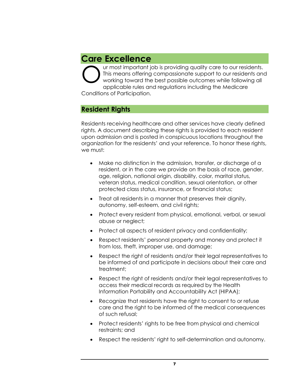# <span id="page-9-0"></span>**Care Excellence**

ur most important job is providing quality care to our residents. This means offering compassionate support to our residents and working toward the best possible outcomes while following all applicable rules and regulations including the Medicare Conditions of Participation. O

#### <span id="page-9-1"></span>**Resident Rights**

Residents receiving healthcare and other services have clearly defined rights. A document describing these rights is provided to each resident upon admission and is posted in conspicuous locations throughout the organization for the residents' and your reference. To honor these rights, we must:

- Make no distinction in the admission, transfer, or discharge of a resident, or in the care we provide on the basis of race, gender, age, religion, national origin, disability, color, marital status, veteran status, medical condition, sexual orientation, or other protected class status, insurance, or financial status;
- Treat all residents in a manner that preserves their dignity, autonomy, self-esteem, and civil rights;
- Protect every resident from physical, emotional, verbal, or sexual abuse or neglect;
- Protect all aspects of resident privacy and confidentiality;
- Respect residents' personal property and money and protect it from loss, theft, improper use, and damage;
- Respect the right of residents and/or their legal representatives to be informed of and participate in decisions about their care and treatment;
- Respect the right of residents and/or their legal representatives to access their medical records as required by the Health Information Portability and Accountability Act (HIPAA);
- Recognize that residents have the right to consent to or refuse care and the right to be informed of the medical consequences of such refusal;
- Protect residents' rights to be free from physical and chemical restraints; and
- Respect the residents' right to self-determination and autonomy.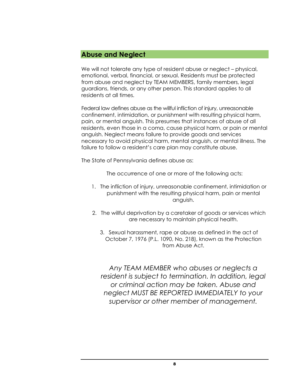#### <span id="page-10-0"></span>**Abuse and Neglect**

We will not tolerate any type of resident abuse or neglect – physical, emotional, verbal, financial, or sexual. Residents must be protected from abuse and neglect by TEAM MEMBERS, family members, legal guardians, friends, or any other person. This standard applies to all residents at all times.

Federal law defines abuse as the willful infliction of injury, unreasonable confinement, intimidation, or punishment with resulting physical harm, pain, or mental anguish. This presumes that instances of abuse of all residents, even those in a coma, cause physical harm, or pain or mental anguish. Neglect means failure to provide goods and services necessary to avoid physical harm, mental anguish, or mental illness. The failure to follow a resident's care plan may constitute abuse.

The State of Pennsylvania defines abuse as:

The occurrence of one or more of the following acts:

- 1. The infliction of injury, unreasonable confinement, intimidation or punishment with the resulting physical harm, pain or mental anguish.
- 2. The willful deprivation by a caretaker of goods or services which are necessary to maintain physical health.
	- 3. Sexual harassment, rape or abuse as defined in the act of October 7, 1976 (P.L. 1090, No. 218), known as the Protection from Abuse Act.

*Any TEAM MEMBER who abuses or neglects a resident is subject to termination. In addition, legal or criminal action may be taken. Abuse and neglect MUST BE REPORTED IMMEDIATELY to your supervisor or other member of management.*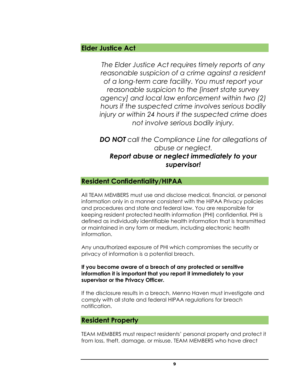## <span id="page-11-0"></span>**Elder Justice Act**

*The Elder Justice Act requires timely reports of any reasonable suspicion of a crime against a resident of a long-term care facility. You must report your reasonable suspicion to the [insert state survey agency] and local law enforcement within two (2) hours if the suspected crime involves serious bodily injury or within 24 hours if the suspected crime does not involve serious bodily injury.*

*DO NOT call the Compliance Line for allegations of abuse or neglect. Report abuse or neglect immediately to your supervisor!*

#### <span id="page-11-1"></span>**Resident Confidentiality/HIPAA**

All TEAM MEMBERS must use and disclose medical, financial, or personal information only in a manner consistent with the HIPAA Privacy policies and procedures and state and federal law. You are responsible for keeping resident protected health information (PHI) confidential. PHI is defined as individually identifiable health information that is transmitted or maintained in any form or medium, including electronic health information.

Any unauthorized exposure of PHI which compromises the security or privacy of information is a potential breach.

#### **If you become aware of a breach of any protected or sensitive information it is important that you report it immediately to your supervisor or the Privacy Officer.**

If the disclosure results in a breach, Menno Haven must investigate and comply with all state and federal HIPAA regulations for breach notification.

#### <span id="page-11-2"></span>**Resident Property**

TEAM MEMBERS must respect residents' personal property and protect it from loss, theft, damage, or misuse. TEAM MEMBERS who have direct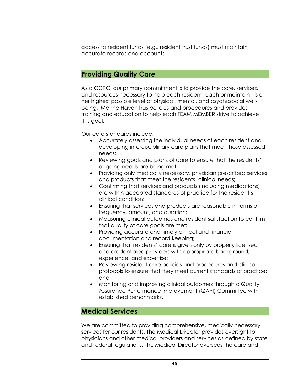access to resident funds (e.g., resident trust funds) must maintain accurate records and accounts.

#### <span id="page-12-0"></span>**Providing Quality Care**

As a CCRC, our primary commitment is to provide the care, services, and resources necessary to help each resident reach or maintain his or her highest possible level of physical, mental, and psychosocial wellbeing. Menno Haven has policies and procedures and provides training and education to help each TEAM MEMBER strive to achieve this goal.

Our care standards include:

- Accurately assessing the individual needs of each resident and developing interdisciplinary care plans that meet those assessed needs;
- Reviewing goals and plans of care to ensure that the residents' ongoing needs are being met;
- Providing only medically necessary, physician prescribed services and products that meet the residents' clinical needs;
- Confirming that services and products (including medications) are within accepted standards of practice for the resident's clinical condition;
- Ensuring that services and products are reasonable in terms of frequency, amount, and duration;
- Measuring clinical outcomes and resident satisfaction to confirm that quality of care goals are met;
- Providing accurate and timely clinical and financial documentation and record keeping;
- Ensuring that residents' care is given only by properly licensed and credentialed providers with appropriate background, experience, and expertise;
- Reviewing resident care policies and procedures and clinical protocols to ensure that they meet current standards of practice; and
- Monitoring and improving clinical outcomes through a Quality Assurance Performance Improvement (QAPI) Committee with established benchmarks.

# <span id="page-12-1"></span>**Medical Services**

We are committed to providing comprehensive, medically necessary services for our residents. The Medical Director provides oversight to physicians and other medical providers and services as defined by state and federal regulations. The Medical Director oversees the care and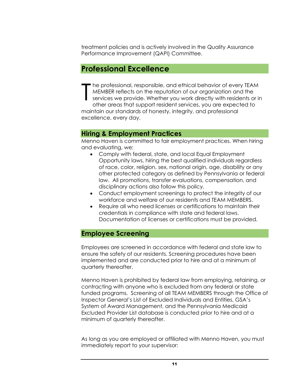treatment policies and is actively involved in the Quality Assurance Performance Improvement (QAPI) Committee.

# <span id="page-13-0"></span>**Professional Excellence**

he professional, responsible, and ethical behavior of every TEAM MEMBER reflects on the reputation of our organization and the services we provide. Whether you work directly with residents or in other areas that support resident services, you are expected to maintain our standards of honesty, integrity, and professional excellence, every day. T

#### **Hiring & Employment Practices**

Menno Haven is committed to fair employment practices. When hiring and evaluating, we:

- Comply with federal, state, and local Equal Employment Opportunity laws, hiring the best qualified individuals regardless of race, color, religion, sex, national origin, age, disability or any other protected category as defined by Pennsylvania or federal law. All promotions, transfer evaluations, compensation, and disciplinary actions also follow this policy.
- Conduct employment screenings to protect the integrity of our workforce and welfare of our residents and TEAM MEMBERS.
- Require all who need licenses or certifications to maintain their credentials in compliance with state and federal laws. Documentation of licenses or certifications must be provided.

#### <span id="page-13-1"></span>**Employee Screening**

Employees are screened in accordance with federal and state law to ensure the safety of our residents. Screening procedures have been implemented and are conducted prior to hire and at a minimum of quarterly thereafter.

Menno Haven is prohibited by federal law from employing, retaining, or contracting with anyone who is excluded from any federal or state funded programs. Screening of all TEAM MEMBERS through the Office of Inspector General's List of Excluded Individuals and Entities, GSA's System of Award Management, and the Pennsylvania Medicaid Excluded Provider List database is conducted prior to hire and at a minimum of quarterly thereafter.

As long as you are employed or affiliated with Menno Haven, you must immediately report to your supervisor: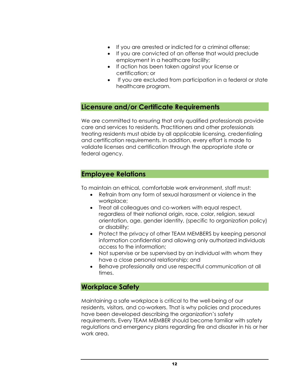- If you are arrested or indicted for a criminal offense;
- If you are convicted of an offense that would preclude employment in a healthcare facility;
- If action has been taken against your license or certification; or
- If you are excluded from participation in a federal or state healthcare program.

#### **Licensure and/or Certificate Requirements**

We are committed to ensuring that only qualified professionals provide care and services to residents. Practitioners and other professionals treating residents must abide by all applicable licensing, credentialing and certification requirements. In addition, every effort is made to validate licenses and certification through the appropriate state or federal agency.

#### <span id="page-14-0"></span>**Employee Relations**

To maintain an ethical, comfortable work environment, staff must:

- Refrain from any form of sexual harassment or violence in the workplace;
- Treat all colleagues and co-workers with equal respect, regardless of their national origin, race, color, religion, sexual orientation, age, gender identity, (specific to organization policy) or disability;
- Protect the privacy of other TEAM MEMBERS by keeping personal information confidential and allowing only authorized individuals access to the information;
- Not supervise or be supervised by an individual with whom they have a close personal relationship; and
- Behave professionally and use respectful communication at all times.

#### <span id="page-14-1"></span>**Workplace Safety**

Maintaining a safe workplace is critical to the well-being of our residents, visitors, and co-workers. That is why policies and procedures have been developed describing the organization's safety requirements. Every TEAM MEMBER should become familiar with safety regulations and emergency plans regarding fire and disaster in his or her work area.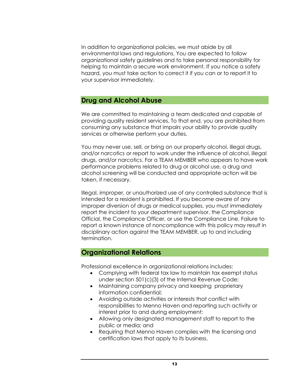In addition to organizational policies, we must abide by all environmental laws and regulations. You are expected to follow organizational safety guidelines and to take personal responsibility for helping to maintain a secure work environment. If you notice a safety hazard, you must take action to correct it if you can or to report it to your supervisor immediately.

#### <span id="page-15-0"></span>**Drug and Alcohol Abuse**

We are committed to maintaining a team dedicated and capable of providing quality resident services. To that end, you are prohibited from consuming any substance that impairs your ability to provide quality services or otherwise perform your duties.

You may never use, sell, or bring on our property alcohol, illegal drugs, and/or narcotics or report to work under the influence of alcohol, illegal drugs, and/or narcotics. For a TEAM MEMBER who appears to have work performance problems related to drug or alcohol use, a drug and alcohol screening will be conducted and appropriate action will be taken, if necessary.

Illegal, improper, or unauthorized use of any controlled substance that is intended for a resident is prohibited. If you become aware of any improper diversion of drugs or medical supplies, you must immediately report the incident to your department supervisor, the Compliance Official, the Compliance Officer, or use the Compliance Line. Failure to report a known instance of noncompliance with this policy may result in disciplinary action against the TEAM MEMBER, up to and including termination.

#### <span id="page-15-1"></span>**Organizational Relations**

Professional excellence in organizational relations includes:

- Complying with federal tax law to maintain tax exempt status under section 501(c)(3) of the Internal Revenue Code;
- Maintaining company privacy and keeping proprietary information confidential;
- Avoiding outside activities or interests that conflict with responsibilities to Menno Haven and reporting such activity or interest prior to and during employment;
- Allowing only designated management staff to report to the public or media; and
- Requiring that Menno Haven complies with the licensing and certification laws that apply to its business.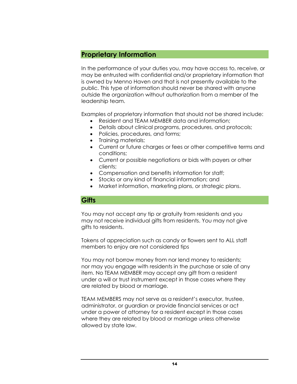#### <span id="page-16-0"></span>**Proprietary Information**

In the performance of your duties you, may have access to, receive, or may be entrusted with confidential and/or proprietary information that is owned by Menno Haven and that is not presently available to the public. This type of information should never be shared with anyone outside the organization without authorization from a member of the leadership team.

Examples of proprietary information that should not be shared include:

- Resident and TEAM MEMBER data and information;
- Details about clinical programs, procedures, and protocols;
- Policies, procedures, and forms;
- Training materials;
- Current or future charges or fees or other competitive terms and conditions;
- Current or possible negotiations or bids with payers or other clients;
- Compensation and benefits information for staff;
- Stocks or any kind of financial information; and
- Market information, marketing plans, or strategic plans.

#### <span id="page-16-1"></span>**Gifts**

You may not accept any tip or gratuity from residents and you may not receive individual gifts from residents. You may not give gifts to residents.

Tokens of appreciation such as candy or flowers sent to ALL staff members to enjoy are not considered tips

You may not borrow money from nor lend money to residents; nor may you engage with residents in the purchase or sale of any item. No TEAM MEMBER may accept any gift from a resident under a will or trust instrument except in those cases where they are related by blood or marriage.

TEAM MEMBERS may not serve as a resident's executor, trustee, administrator, or guardian or provide financial services or act under a power of attorney for a resident except in those cases where they are related by blood or marriage unless otherwise allowed by state law.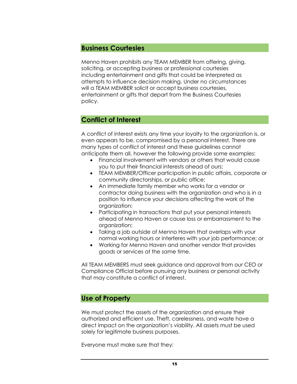#### <span id="page-17-0"></span>**Business Courtesies**

Menno Haven prohibits any TEAM MEMBER from offering, giving, soliciting, or accepting business or professional courtesies including entertainment and gifts that could be interpreted as attempts to influence decision making. Under no circumstances will a TEAM MEMBER solicit or accept business courtesies, entertainment or gifts that depart from the Business Courtesies policy.

## <span id="page-17-1"></span>**Conflict of Interest**

A conflict of interest exists any time your loyalty to the organization is, or even appears to be, compromised by a personal interest. There are many types of conflict of interest and these guidelines cannot anticipate them all, however the following provide some examples:

- Financial involvement with vendors or others that would cause you to put their financial interests ahead of ours;
- TEAM MEMBER/Officer participation in public affairs, corporate or community directorships, or public office;
- An immediate family member who works for a vendor or contractor doing business with the organization and who is in a position to influence your decisions affecting the work of the organization;
- Participating in transactions that put your personal interests ahead of Menno Haven or cause loss or embarrassment to the organization;
- Taking a job outside of Menno Haven that overlaps with your normal working hours or interferes with your job performance; or
- Working for Menno Haven and another vendor that provides goods or services at the same time.

All TEAM MEMBERS must seek guidance and approval from our CEO or Compliance Official before pursuing any business or personal activity that may constitute a conflict of interest.

#### <span id="page-17-2"></span>**Use of Property**

We must protect the assets of the organization and ensure their authorized and efficient use. Theft, carelessness, and waste have a direct impact on the organization's viability. All assets must be used solely for legitimate business purposes.

Everyone must make sure that they: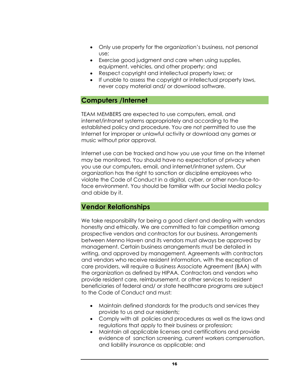- Only use property for the organization's business, not personal use;
- Exercise good judgment and care when using supplies, equipment, vehicles, and other property; and
- Respect copyright and intellectual property laws; or
- If unable to assess the copyright or intellectual property laws, never copy material and/ or download software.

## <span id="page-18-0"></span>**Computers /Internet**

TEAM MEMBERS are expected to use computers, email, and internet/intranet systems appropriately and according to the established policy and procedure. You are not permitted to use the Internet for improper or unlawful activity or download any games or music without prior approval.

Internet use can be tracked and how you use your time on the Internet may be monitored. You should have no expectation of privacy when you use our computers, email, and internet/intranet system. Our organization has the right to sanction or discipline employees who violate the Code of Conduct in a digital, cyber, or other non-face-toface environment. You should be familiar with our Social Media policy and abide by it.

#### <span id="page-18-1"></span>**Vendor Relationships**

We take responsibility for being a good client and dealing with vendors honestly and ethically. We are committed to fair competition among prospective vendors and contractors for our business. Arrangements between Menno Haven and its vendors must always be approved by management. Certain business arrangements must be detailed in writing, and approved by management. Agreements with contractors and vendors who receive resident information, with the exception of care providers, will require a Business Associate Agreement (BAA) with the organization as defined by HIPAA. Contractors and vendors who provide resident care, reimbursement, or other services to resident beneficiaries of federal and/ or state healthcare programs are subject to the Code of Conduct and must:

- Maintain defined standards for the products and services they provide to us and our residents;
- Comply with all policies and procedures as well as the laws and regulations that apply to their business or profession;
- Maintain all applicable licenses and certifications and provide evidence of sanction screening, current workers compensation, and liability insurance as applicable; and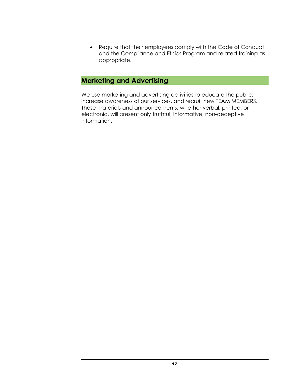• Require that their employees comply with the Code of Conduct and the Compliance and Ethics Program and related training as appropriate.

## <span id="page-19-0"></span>**Marketing and Advertising**

We use marketing and advertising activities to educate the public, increase awareness of our services, and recruit new TEAM MEMBERS. These materials and announcements, whether verbal, printed, or electronic, will present only truthful, informative, non-deceptive information.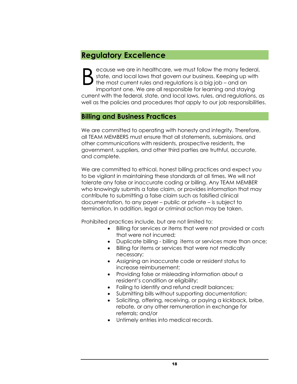# <span id="page-20-0"></span>**Regulatory Excellence**

ecause we are in healthcare, we must follow the many federal, state, and local laws that govern our business. Keeping up with the most current rules and regulations is a big job – and an important one. We are all responsible for learning and staying current with the federal, state, and local laws, rules, and regulations, as well as the policies and procedures that apply to our job responsibilities. B

# <span id="page-20-1"></span>**Billing and Business Practices**

We are committed to operating with honesty and integrity. Therefore, all TEAM MEMBERS must ensure that all statements, submissions, and other communications with residents, prospective residents, the government, suppliers, and other third parties are truthful, accurate, and complete.

We are committed to ethical, honest billing practices and expect you to be vigilant in maintaining these standards at all times. We will not tolerate any false or inaccurate coding or billing. Any TEAM MEMBER who knowingly submits a false claim, or provides information that may contribute to submitting a false claim such as falsified clinical documentation, to any payer – public or private – is subject to termination. In addition, legal or criminal action may be taken.

Prohibited practices include, but are not limited to:

- Billing for services or items that were not provided or costs that were not incurred;
- Duplicate billing billing items or services more than once;
- Billing for items or services that were not medically necessary;
- Assigning an inaccurate code or resident status to increase reimbursement;
- Providing false or misleading information about a resident's condition or eligibility;
- Failing to identify and refund credit balances;
- Submitting bills without supporting documentation;
- Soliciting, offering, receiving, or paying a kickback, bribe, rebate, or any other remuneration in exchange for referrals; and/or
- Untimely entries into medical records.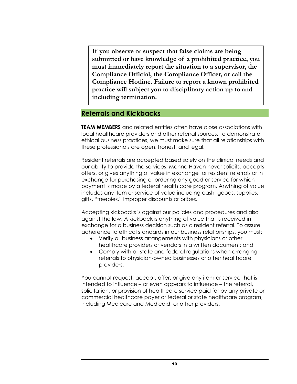**If you observe or suspect that false claims are being submitted or have knowledge of a prohibited practice, you must immediately report the situation to a supervisor, the Compliance Official, the Compliance Officer, or call the Compliance Hotline. Failure to report a known prohibited practice will subject you to disciplinary action up to and including termination.**

#### <span id="page-21-0"></span>**Referrals and Kickbacks**

**TEAM MEMBERS** and related entities often have close associations with local healthcare providers and other referral sources. To demonstrate ethical business practices, we must make sure that all relationships with these professionals are open, honest, and legal.

Resident referrals are accepted based solely on the clinical needs and our ability to provide the services. Menno Haven never solicits, accepts offers, or gives anything of value in exchange for resident referrals or in exchange for purchasing or ordering any good or service for which payment is made by a federal health care program. Anything of value includes any item or service of value including cash, goods, supplies, gifts, "freebies," improper discounts or bribes.

Accepting kickbacks is against our policies and procedures and also against the law. A kickback is anything of value that is received in exchange for a business decision such as a resident referral. To assure adherence to ethical standards in our business relationships, you must:

- Verify all business arrangements with physicians or other healthcare providers or vendors in a written document; and
- Comply with all state and federal regulations when arranging referrals to physician-owned businesses or other healthcare providers.

You cannot request, accept, offer, or give any item or service that is intended to influence – or even appears to influence – the referral, solicitation, or provision of healthcare service paid for by any private or commercial healthcare payer or federal or state healthcare program, including Medicare and Medicaid, or other providers.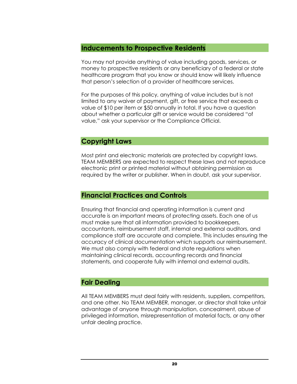#### <span id="page-22-0"></span>**Inducements to Prospective Residents**

You may not provide anything of value including goods, services, or money to prospective residents or any beneficiary of a federal or state healthcare program that you know or should know will likely influence that person's selection of a provider of healthcare services.

For the purposes of this policy, anything of value includes but is not limited to any waiver of payment, gift, or free service that exceeds a value of \$10 per item or \$50 annually in total. If you have a question about whether a particular gift or service would be considered "of value," ask your supervisor or the Compliance Official.

#### <span id="page-22-1"></span>**Copyright Laws**

Most print and electronic materials are protected by copyright laws. TEAM MEMBERS are expected to respect these laws and not reproduce electronic print or printed material without obtaining permission as required by the writer or publisher. When in doubt, ask your supervisor.

#### <span id="page-22-2"></span>**Financial Practices and Controls**

Ensuring that financial and operating information is current and accurate is an important means of protecting assets. Each one of us must make sure that all information provided to bookkeepers, accountants, reimbursement staff, internal and external auditors, and compliance staff are accurate and complete. This includes ensuring the accuracy of clinical documentation which supports our reimbursement. We must also comply with federal and state regulations when maintaining clinical records, accounting records and financial statements, and cooperate fully with internal and external audits.

#### <span id="page-22-3"></span>**Fair Dealing**

All TEAM MEMBERS must deal fairly with residents, suppliers, competitors, and one other. No TEAM MEMBER, manager, or director shall take unfair advantage of anyone through manipulation, concealment, abuse of privileged information, misrepresentation of material facts, or any other unfair dealing practice.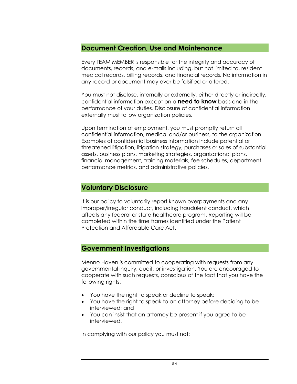#### <span id="page-23-0"></span>**Document Creation, Use and Maintenance**

Every TEAM MEMBER is responsible for the integrity and accuracy of documents, records, and e-mails including, but not limited to, resident medical records, billing records, and financial records. No information in any record or document may ever be falsified or altered.

You must not disclose, internally or externally, either directly or indirectly, confidential information except on a **need to know** basis and in the performance of your duties. Disclosure of confidential information externally must follow organization policies.

Upon termination of employment, you must promptly return all confidential information, medical and/or business, to the organization. Examples of confidential business information include potential or threatened litigation, litigation strategy, purchases or sales of substantial assets, business plans, marketing strategies, organizational plans, financial management, training materials, fee schedules, department performance metrics, and administrative policies.

#### <span id="page-23-1"></span>**Voluntary Disclosure**

It is our policy to voluntarily report known overpayments and any improper/irregular conduct, including fraudulent conduct, which affects any federal or state healthcare program. Reporting will be completed within the time frames identified under the Patient Protection and Affordable Care Act.

#### <span id="page-23-2"></span>**Government Investigations**

Menno Haven is committed to cooperating with requests from any governmental inquiry, audit, or investigation. You are encouraged to cooperate with such requests, conscious of the fact that you have the following rights:

- You have the right to speak or decline to speak;
- You have the right to speak to an attorney before deciding to be interviewed; and
- You can insist that an attorney be present if you agree to be interviewed.

In complying with our policy you must not: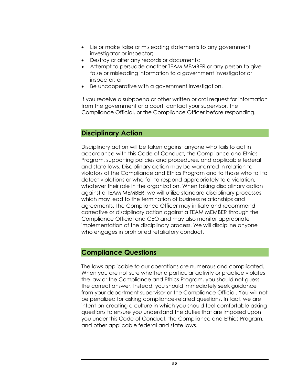- Lie or make false or misleading statements to any government investigator or inspector;
- Destroy or alter any records or documents;
- Attempt to persuade another TEAM MEMBER or any person to give false or misleading information to a government investigator or inspector; or
- Be uncooperative with a government investigation.

If you receive a subpoena or other written or oral request for information from the government or a court, contact your supervisor, the Compliance Official, or the Compliance Officer before responding.

#### <span id="page-24-0"></span>**Disciplinary Action**

Disciplinary action will be taken against anyone who fails to act in accordance with this Code of Conduct**,** the Compliance and Ethics Program, supporting policies and procedures, and applicable federal and state laws. Disciplinary action may be warranted in relation to violators of the Compliance and Ethics Program and to those who fail to detect violations or who fail to respond appropriately to a violation, whatever their role in the organization. When taking disciplinary action against a TEAM MEMBER, we will utilize standard disciplinary processes which may lead to the termination of business relationships and agreements. The Compliance Officer may initiate and recommend corrective or disciplinary action against a TEAM MEMBER through the Compliance Official and CEO and may also monitor appropriate implementation of the disciplinary process. We will discipline anyone who engages in prohibited retaliatory conduct.

#### <span id="page-24-1"></span>**Compliance Questions**

The laws applicable to our operations are numerous and complicated. When you are not sure whether a particular activity or practice violates the law or the Compliance and Ethics Program, you should not guess the correct answer. Instead, you should immediately seek guidance from your department supervisor or the Compliance Official. You will not be penalized for asking compliance-related questions. In fact, we are intent on creating a culture in which you should feel comfortable asking questions to ensure you understand the duties that are imposed upon you under this Code of Conduct, the Compliance and Ethics Program, and other applicable federal and state laws.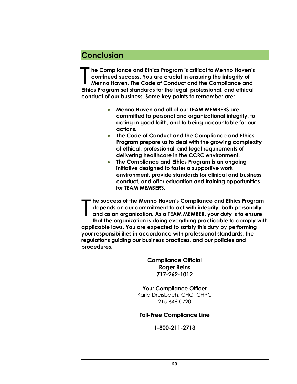# <span id="page-25-0"></span>**Conclusion**

**he Compliance and Ethics Program is critical to Menno Haven's continued success. You are crucial in ensuring the integrity of Menno Haven. The Code of Conduct and the Compliance and Ethics Program set standards for the legal, professional, and ethical conduct of our business. Some key points to remember are:**  T

- **Menno Haven and all of our TEAM MEMBERS are committed to personal and organizational integrity, to acting in good faith, and to being accountable for our actions.**
- **The Code of Conduct and the Compliance and Ethics Program prepare us to deal with the growing complexity of ethical, professional, and legal requirements of delivering healthcare in the CCRC environment.**
- **The Compliance and Ethics Program is an ongoing initiative designed to foster a supportive work environment, provide standards for clinical and business conduct, and offer education and training opportunities for TEAM MEMBERS.**

**he success of the Menno Haven's Compliance and Ethics Program depends on our commitment to act with integrity, both personally and as an organization. As a TEAM MEMBER, your duty is to ensure that the organization is doing everything practicable to comply with applicable laws. You are expected to satisfy this duty by performing your responsibilities in accordance with professional standards, the regulations guiding our business practices, and our policies and procedures.** T

> **Compliance Official Roger Beins 717-262-1012**

**Your Compliance Officer** Karla Dreisbach, CHC, CHPC 215-646-0720

#### **Toll-Free Compliance Line**

**1-800-211-2713**